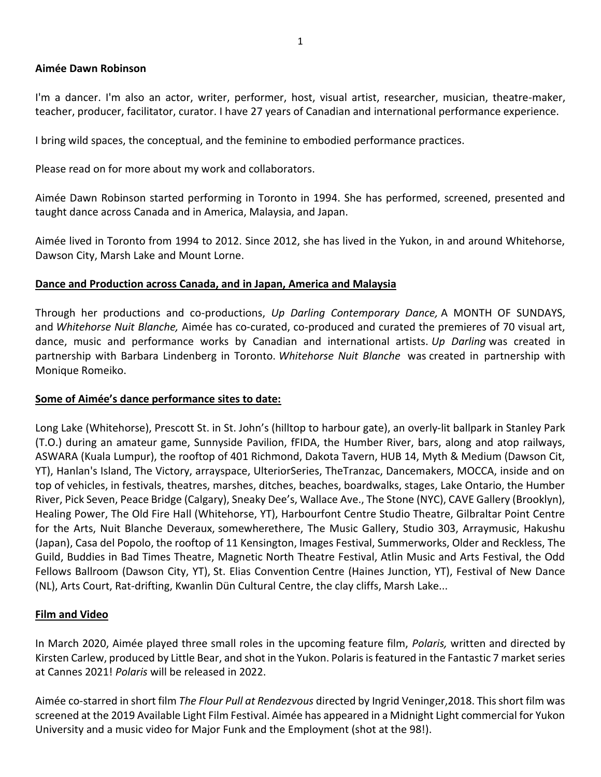## **Aimée Dawn Robinson**

I'm a dancer. I'm also an actor, writer, performer, host, visual artist, researcher, musician, theatre-maker, teacher, producer, facilitator, curator. I have 27 years of Canadian and international performance experience.

I bring wild spaces, the conceptual, and the feminine to embodied performance practices.

Please read on for more about my work and collaborators.

[Aimée Dawn Robinson s](https://editor.wix.com/html/editor/web/renderer/external_preview/document/c0c5f14d-11c0-4388-8401-98aebe65b483?metaSiteId=1210b312-ea30-46df-b960-aa9d04ff8443)tarted performing in Toronto in 1994. She has performed, screened, presented and taught dance across Canada and in America, Malaysia, and Japan.

Aimée lived in Toronto from 1994 to 2012. Since 2012, she has lived in the Yukon, in and around Whitehorse, Dawson City, Marsh Lake and Mount Lorne.

## **Dance and Production across Canada, and in Japan, America and Malaysia**

Through her productions and co-productions, *Up Darling Contemporary Dance,* A MONTH OF SUNDAYS, and *Whitehorse Nuit Blanche,* Aimée has co-curated, co-produced and curated the premieres of 70 visual art, dance, music and performance works by Canadian and international artists. *Up Darling* was created in partnership with Barbara Lindenberg in Toronto. *Whitehorse Nuit Blanche* was created in partnership with Monique Romeiko.

## **Some of Aimée's dance performance sites to date:**

Long Lake (Whitehorse), Prescott St. in St. John's (hilltop to harbour gate), an overly-lit ballpark in Stanley Park (T.O.) during an amateur game, Sunnyside Pavilion, fFIDA, the Humber River, bars, along and atop railways, ASWARA (Kuala Lumpur), the rooftop of 401 Richmond, Dakota Tavern, HUB 14, Myth & Medium (Dawson Cit, YT), Hanlan's Island, The Victory, arrayspace, UlteriorSeries, TheTranzac, Dancemakers, MOCCA, inside and on top of vehicles, in festivals, theatres, marshes, ditches, beaches, boardwalks, stages, Lake Ontario, the Humber River, Pick Seven, Peace Bridge (Calgary), Sneaky Dee's, Wallace Ave., The Stone (NYC), CAVE Gallery (Brooklyn), Healing Power, The Old Fire Hall (Whitehorse, YT), Harbourfont Centre Studio Theatre, Gilbraltar Point Centre for the Arts, Nuit Blanche Deveraux, somewherethere, The Music Gallery, Studio 303, Arraymusic, Hakushu (Japan), Casa del Popolo, the rooftop of 11 Kensington, Images Festival, Summerworks, Older and Reckless, The Guild, Buddies in Bad Times Theatre, Magnetic North Theatre Festival, Atlin Music and Arts Festival, the Odd Fellows Ballroom (Dawson City, YT), St. Elias Convention Centre (Haines Junction, YT), Festival of New Dance (NL), Arts Court, Rat-drifting, Kwanlin Dün Cultural Centre, the clay cliffs, Marsh Lake...

## **Film and Video**

In March 2020, Aimée played three small roles in the upcoming feature film, *Polaris,* written and directed by Kirsten Carlew, produced by Little Bear, and shot in the Yukon. Polaris is featured in the Fantastic 7 market series at Cannes 2021! *Polaris* will be released in 2022.

Aimée co-starred in short film *The Flour Pull at Rendezvous* directed by Ingrid Veninger,2018. This short film was screened at the 2019 Available Light Film Festival. Aimée has appeared in a Midnight Light commercial for Yukon University and a music video for Major Funk and the Employment (shot at the 98!).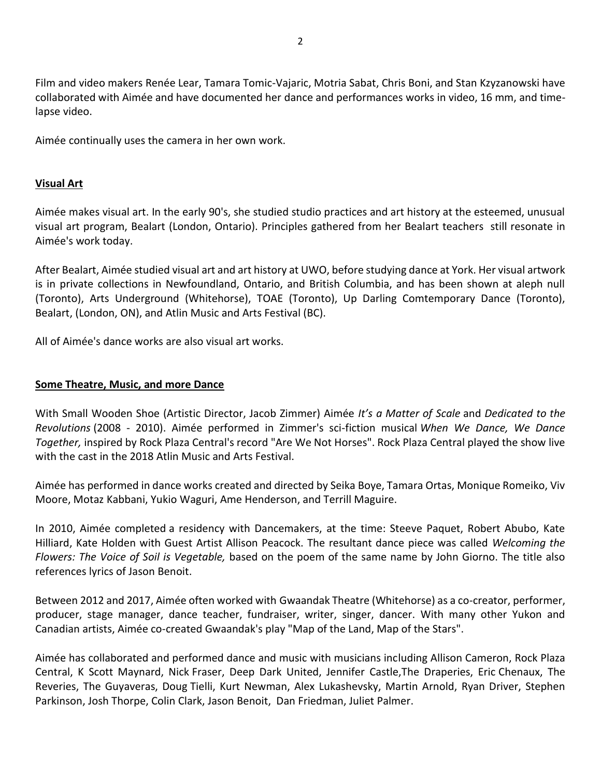Film and video makers Renée Lear, Tamara Tomic-Vajaric, Motria Sabat, Chris Boni, and Stan Kzyzanowski have collaborated with Aimée and have documented her dance and performances works in video, 16 mm, and timelapse video.

Aimée continually uses the camera in her own work.

# **Visual Art**

Aimée makes visual art. In the early 90's, she studied studio practices and art history at the esteemed, unusual visual art program, Bealart (London, Ontario). Principles gathered from her Bealart teachers still resonate in Aimée's work today.

After Bealart, Aimée studied visual art and art history at UWO, before studying dance at York. Her visual artwork is in private collections in Newfoundland, Ontario, and British Columbia, and has been shown at aleph null (Toronto), Arts Underground (Whitehorse), TOAE (Toronto), Up Darling Comtemporary Dance (Toronto), Bealart, (London, ON), and Atlin Music and Arts Festival (BC).

All of Aimée's dance works are also visual art works.

## **Some Theatre, Music, and more Dance**

With Small Wooden Shoe (Artistic Director, Jacob Zimmer) Aimée *It's a Matter of Scale* and *Dedicated to the Revolutions* (2008 - 2010). Aimée performed in Zimmer's sci-fiction musical *When We Dance, We Dance Together,* inspired by Rock Plaza Central's record "Are We Not Horses". Rock Plaza Central played the show live with the cast in the 2018 Atlin Music and Arts Festival.

Aimée has performed in dance works created and directed by Seika Boye, Tamara Ortas, Monique Romeiko, Viv Moore, Motaz Kabbani, Yukio Waguri, Ame Henderson, and Terrill Maguire.

In 2010, Aimée completed a residency with Dancemakers, at the time: Steeve Paquet, Robert Abubo, Kate Hilliard, Kate Holden with Guest Artist Allison Peacock. The resultant dance piece was called *Welcoming the Flowers: The Voice of Soil is Vegetable,* based on the poem of the same name by John Giorno. The title also references lyrics of Jason Benoit.

Between 2012 and 2017, Aimée often worked with Gwaandak Theatre (Whitehorse) as a co-creator, performer, producer, stage manager, dance teacher, fundraiser, writer, singer, dancer. With many other Yukon and Canadian artists, Aimée co-created Gwaandak's play "Map of the Land, Map of the Stars".

Aimée has collaborated and performed dance and music with musicians including Allison Cameron, Rock Plaza Central, K Scott Maynard, Nick Fraser, Deep Dark United, Jennifer Castle,The Draperies, Eric Chenaux, The Reveries, The Guyaveras, Doug Tielli, Kurt Newman, Alex Lukashevsky, Martin Arnold, Ryan Driver, Stephen Parkinson, Josh Thorpe, Colin Clark, Jason Benoit, Dan Friedman, Juliet Palmer.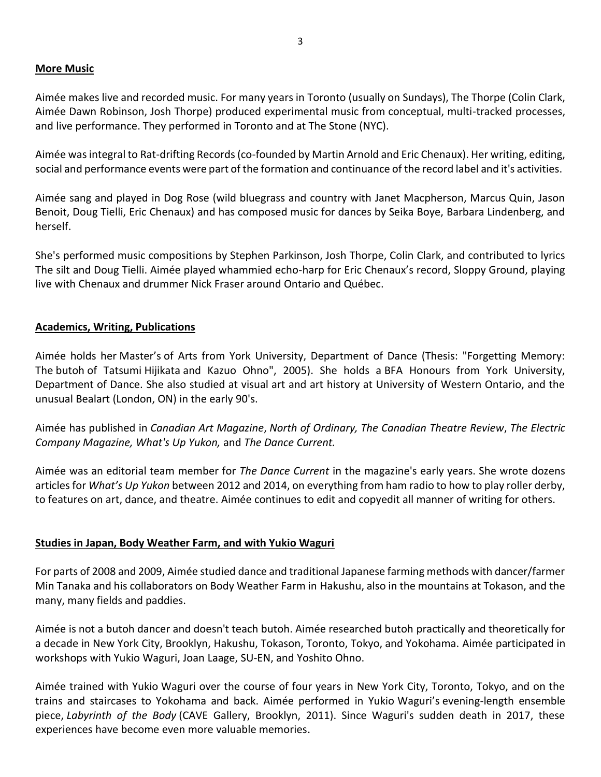# **More Music**

Aimée makes live and recorded music. For many years in Toronto (usually on Sundays), The Thorpe (Colin Clark, Aimée Dawn Robinson, Josh Thorpe) produced experimental music from conceptual, multi-tracked processes, and live performance. They performed in Toronto and at The Stone (NYC).

Aimée was integral to Rat-drifting Records (co-founded by Martin Arnold and Eric Chenaux). Her writing, editing, social and performance events were part of the formation and continuance of the record label and it's activities.

Aimée sang and played in Dog Rose (wild bluegrass and country with Janet Macpherson, Marcus Quin, Jason Benoit, Doug Tielli, Eric Chenaux) and has composed music for dances by Seika Boye, Barbara Lindenberg, and herself.

She's performed music compositions by Stephen Parkinson, Josh Thorpe, Colin Clark, and contributed to lyrics The silt and Doug Tielli. Aimée played whammied echo-harp for Eric Chenaux's record, Sloppy Ground, playing live with Chenaux and drummer Nick Fraser around Ontario and Québec.

# **Academics, Writing, Publications**

Aimée holds her Master's of Arts from York University, Department of Dance (Thesis: "Forgetting Memory: The butoh of Tatsumi Hijikata and Kazuo Ohno", 2005). She holds a BFA Honours from York University, Department of Dance. She also studied at visual art and art history at University of Western Ontario, and the unusual Bealart (London, ON) in the early 90's.

Aimée has published in *Canadian Art Magazine*, *North of Ordinary, The Canadian Theatre Review*, *The Electric Company Magazine, What's Up Yukon,* and *The Dance Current.* 

Aimée was an editorial team member for *The Dance Current* in the magazine's early years. She wrote dozens articles for *What's Up Yukon* between 2012 and 2014, on everything from ham radio to how to play roller derby, to features on art, dance, and theatre. Aimée continues to edit and copyedit all manner of writing for others.

## **Studies in Japan, Body Weather Farm, and with Yukio Waguri**

For parts of 2008 and 2009, Aimée studied dance and traditional Japanese farming methods with dancer/farmer Min Tanaka and his collaborators on Body Weather Farm in Hakushu, also in the mountains at Tokason, and the many, many fields and paddies.

Aimée is not a butoh dancer and doesn't teach butoh. Aimée researched butoh practically and theoretically for a decade in New York City, Brooklyn, Hakushu, Tokason, Toronto, Tokyo, and Yokohama. Aimée participated in workshops with Yukio Waguri, Joan Laage, SU-EN, and Yoshito Ohno.

Aimée trained with Yukio Waguri over the course of four years in New York City, Toronto, Tokyo, and on the trains and staircases to Yokohama and back. Aimée performed in Yukio Waguri's evening-length ensemble piece, *Labyrinth of the Body* (CAVE Gallery, Brooklyn, 2011). Since Waguri's sudden death in 2017, these experiences have become even more valuable memories.